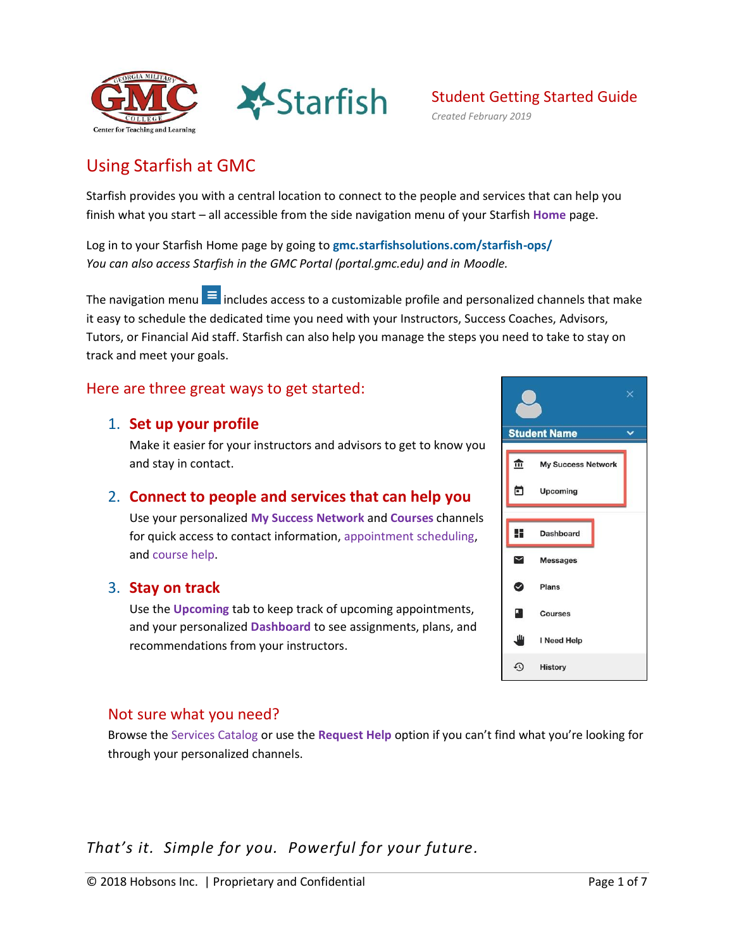



# Using Starfish at GMC

Starfish provides you with a central location to connect to the people and services that can help you finish what you start – all accessible from the side navigation menu of your Starfish **Home** page.

Log in to your Starfish Home page by going to **[gmc.starfishsolutions.com/starfish-ops/](https://gmc.starfishsolutions.com/starfish-ops/)** *You can also access Starfish in the GMC Portal (portal.gmc.edu) and in Moodle.*

The navigation menu  $\blacksquare$  includes access to a customizable profile and personalized channels that make it easy to schedule the dedicated time you need with your Instructors, Success Coaches, Advisors, Tutors, or Financial Aid staff. Starfish can also help you manage the steps you need to take to stay on track and meet your goals.

### Here are three great ways to get started:

#### 1. **Set up your profile**

Make it easier for your instructors and advisors to get to know you and stay in contact.

### 2. **[Connect to people and services that can help you](#page-2-0)**

Use your personalized **[My Success Network](#page-2-1)** and **[Courses](#page-3-0)** channels for quick access to contact information, [appointment scheduling,](#page-3-1) and [course help.](#page-5-0)

#### 3. **[Stay on track](#page-5-1)**

Use the **Upcoming** tab to keep track of upcoming appointments, and your personalized **[Dashboard](#page-5-2)** to see assignments, plans, and recommendations from your instructors.

## Not sure what you need?

Browse the [Services Catalog o](#page-6-0)r use the **[Request Help](#page-6-1)** option if you can't find what you're looking for through your personalized channels.

*That's it. Simple for you. Powerful for your future.* 

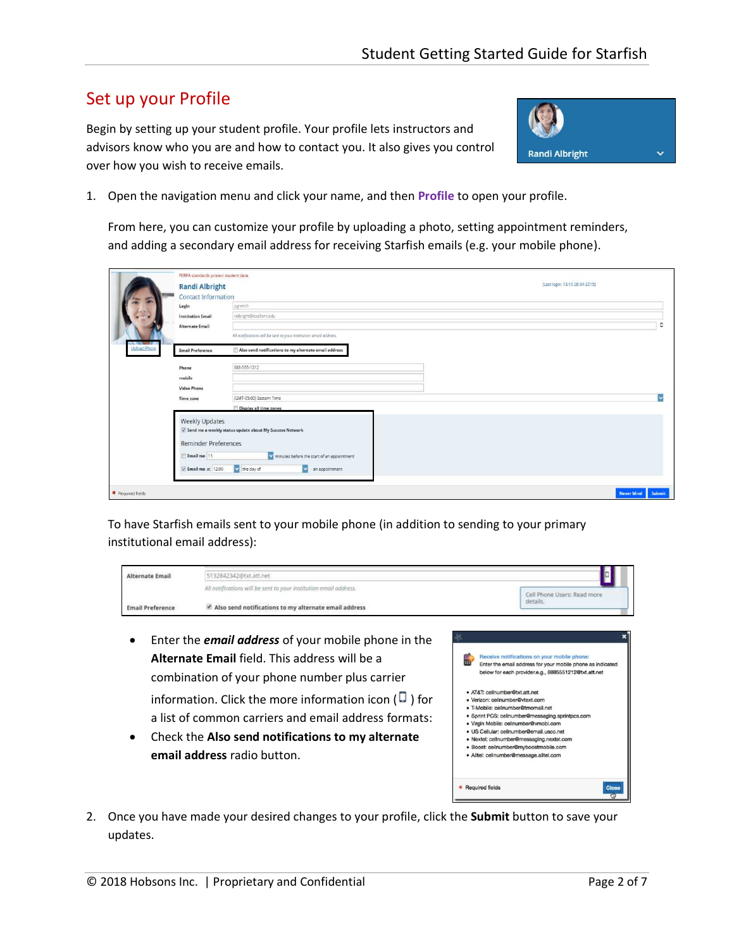# Set up your Profile

Begin by setting up your student profile. Your profile lets instructors and advisors know who you are and how to contact you. It also gives you control over how you wish to receive emails.



1. Open the navigation menu and click your name, and then **Profile** to open your profile.

From here, you can customize your profile by uploading a photo, setting appointment reminders, and adding a secondary email address for receiving Starfish emails (e.g. your mobile phone).

|                            | FERPA standards protect student data.         |                                                                   |                   |
|----------------------------|-----------------------------------------------|-------------------------------------------------------------------|-------------------|
|                            | <b>Randi Albright</b>                         | [Last login: 13:19 28-04-2015]                                    |                   |
|                            | Contact Information                           |                                                                   |                   |
|                            | Login                                         | pgretich.                                                         |                   |
|                            | <b>Institution Email</b>                      | ralbright@exellent.edu                                            |                   |
|                            | Alternate Email                               |                                                                   | D                 |
|                            |                                               | All notifications will be sent to your institution email address. |                   |
| ---<br><b>Upload Photo</b> | <b>Email Preference</b>                       | Also send notifications to my alternate email address             |                   |
|                            | <b>Phone</b>                                  | BB8-555-1212                                                      |                   |
|                            | mobile                                        |                                                                   |                   |
|                            | <b>Video Phone</b>                            |                                                                   |                   |
|                            | Time zone                                     | (GMT-05:00) Eastern Time                                          |                   |
|                            |                                               | Display all time zones                                            |                   |
|                            | Weekly Updates<br><b>Reminder Preferences</b> | V Send me a weekly status update about My Success Network         |                   |
|                            | Email me 15                                   | minutes before the start of an appointment                        |                   |
|                            | V Email me at 12:00                           | v the day of<br>an appointment<br>$\overline{\mathbf{v}}$         |                   |
|                            |                                               |                                                                   |                   |
| * Required fields          |                                               |                                                                   | Never Mind Submit |

To have Starfish emails sent to your mobile phone (in addition to sending to your primary institutional email address):

| Alternate Emai                                                                   | 5132842342@txt.att.net                                                                                                                                                                                                                                                                                                                                                  |                                                                                                                                                                                                                                                                                                                                                                                                                                                                                                                                                        |
|----------------------------------------------------------------------------------|-------------------------------------------------------------------------------------------------------------------------------------------------------------------------------------------------------------------------------------------------------------------------------------------------------------------------------------------------------------------------|--------------------------------------------------------------------------------------------------------------------------------------------------------------------------------------------------------------------------------------------------------------------------------------------------------------------------------------------------------------------------------------------------------------------------------------------------------------------------------------------------------------------------------------------------------|
|                                                                                  | All notifications will be sent to your institution email address.                                                                                                                                                                                                                                                                                                       | Cell Phone Users: Read more                                                                                                                                                                                                                                                                                                                                                                                                                                                                                                                            |
| Also send notifications to my alternate email address<br><b>Email Preference</b> |                                                                                                                                                                                                                                                                                                                                                                         | details.                                                                                                                                                                                                                                                                                                                                                                                                                                                                                                                                               |
|                                                                                  | Enter the <b>email address</b> of your mobile phone in the<br>Alternate Email field. This address will be a<br>combination of your phone number plus carrier<br>information. Click the more information icon ( $\Box$ ) for<br>a list of common carriers and email address formats:<br>Check the Also send notifications to my alternate<br>email address radio button. | Receive notifications on your mobile phone:<br>Enter the email address for your mobile phone as indicated<br>below for each provider.e.g., 8885551212@txt.att.net<br>· AT&T: cellnumber@txt.att.net<br>· Verizon: cellnumber@vtext.com<br>· T-Mobile: cellnumber@tmomail.net<br>· Sprint PCS: cellnumber@messaging.sprintpcs.com<br>· Virgin Mobile: cellnumber@vmobl.com<br>· US Cellular: cellnumber@email.uscc.net<br>· Nextel: cellnumber@messaging.nextel.com<br>· Boost: cellnumber@myboostmobile.com<br>· Alltel: cellnumber@message.alltel.com |

\* Required fields

2. Once you have made your desired changes to your profile, click the **Submit** button to save your updates.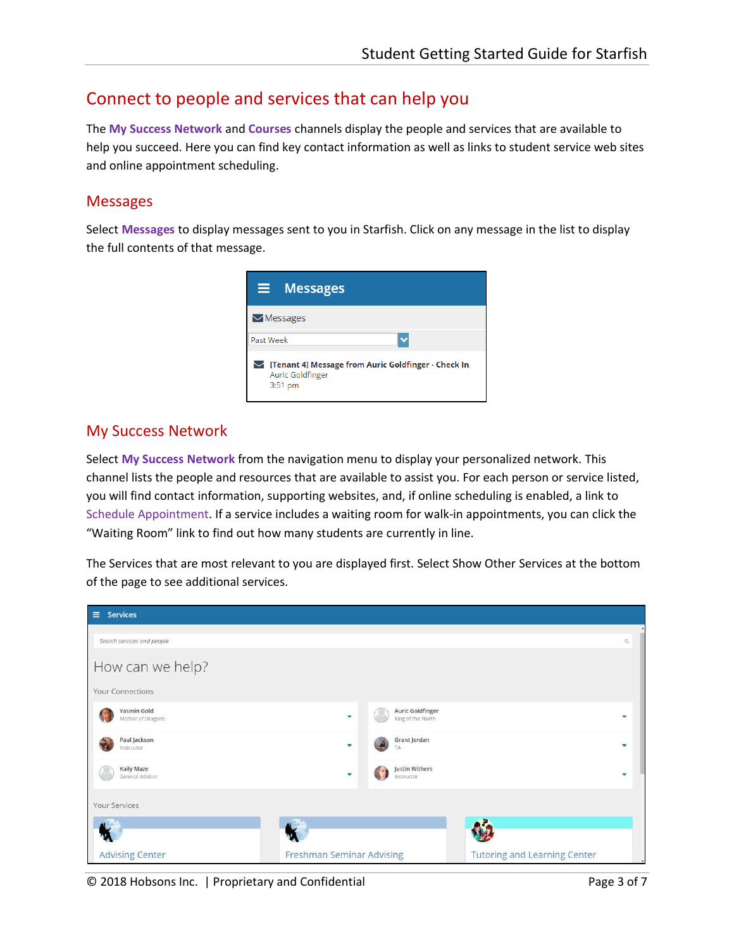# <span id="page-2-0"></span>Connect to people and services that can help you

The **[My Success Network](#page-2-1)** and **[Courses](#page-3-0)** channels display the people and services that are available to help you succeed. Here you can find key contact information as well as links to student service web sites and online appointment scheduling.

#### Messages

Select **Messages** to display messages sent to you in Starfish. Click on any message in the list to display the full contents of that message.



#### <span id="page-2-1"></span>My Success Network

Select **My Success Network** from the navigation menu to display your personalized network. This channel lists the people and resources that are available to assist you. For each person or service listed, you will find contact information, supporting websites, and, if online scheduling is enabled, a link to [Schedule](#page-3-1) Appointment. If a service includes a waiting room for walk-in appointments, you can click the "Waiting Room" link to find out how many students are currently in line.

The Services that are most relevant to you are displayed first. Select Show Other Services at the bottom of the page to see additional services.

| $\equiv$ Services                           |                                  |                                              |                                     |              |
|---------------------------------------------|----------------------------------|----------------------------------------------|-------------------------------------|--------------|
| Search services and people                  |                                  |                                              |                                     | $\mathbb{Q}$ |
| How can we help?<br><b>Your Connections</b> |                                  |                                              |                                     |              |
| Yasmin Gold<br>Mother of Dragons            | ٠                                | <b>Auric Goldfinger</b><br>King of the North |                                     |              |
| Paul Jackson<br>Instructor                  | ٠                                | Grant Jordan<br>TΑ                           |                                     |              |
| Kaily Maze<br>General Advisor               | ٠                                | Justin Withers<br>Instructor                 |                                     |              |
| Your Services                               |                                  |                                              |                                     |              |
|                                             |                                  |                                              |                                     |              |
| <b>Advising Center</b>                      | <b>Freshman Seminar Advising</b> |                                              | <b>Tutoring and Learning Center</b> |              |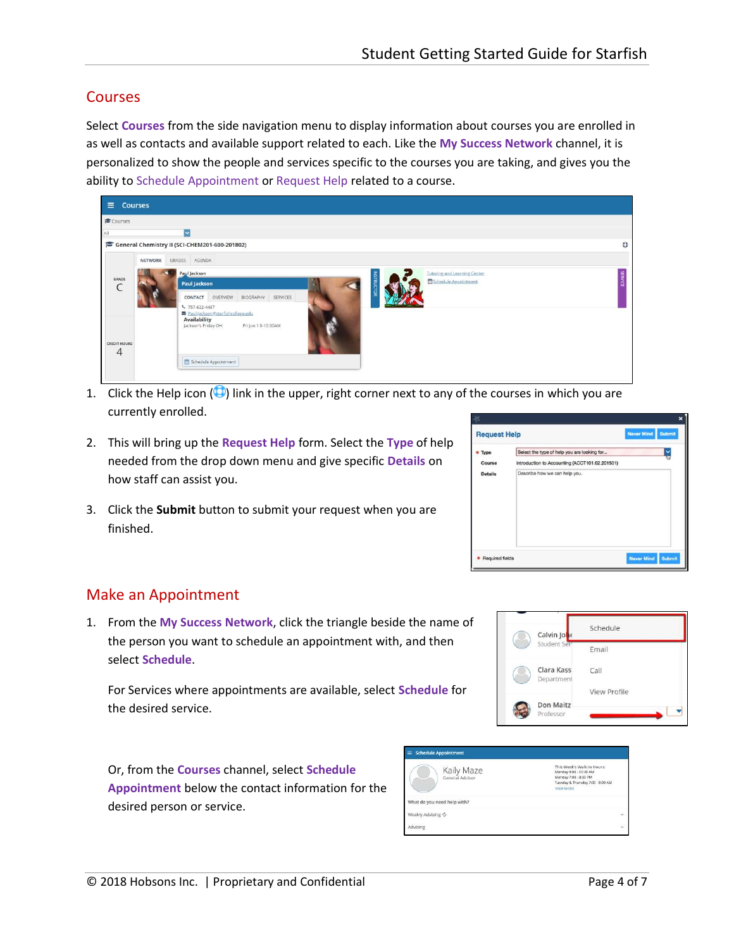### <span id="page-3-1"></span><span id="page-3-0"></span>**Courses**

Select **Courses** from the side navigation menu to display information about courses you are enrolled in as well as contacts and available support related to each. Like the **My Success Network** channel, it is personalized to show the people and services specific to the courses you are taking, and gives you the ability t[o Schedule](#page-3-1) Appointment or [Request Help r](#page-5-0)elated to a course.



- 1. Click the Help icon  $\circled{1}$  link in the upper, right corner next to any of the courses in which you are currently enrolled.
- 2. This will bring up the **Request Help** form. Select the **Type** of help needed from the drop down menu and give specific **Details** on how staff can assist you.
- 3. Click the **Submit** button to submit your request when you are finished.

|                | <b>Request Help</b>                            | <b>Never Mind</b> | <b>Submit</b> |
|----------------|------------------------------------------------|-------------------|---------------|
| Type           | Select the type of help you are looking for    |                   |               |
| Course         | Introduction to Accounting (ACCT101.02.201501) |                   |               |
| <b>Details</b> | Describe how we can help you.                  |                   |               |
|                |                                                |                   |               |

## Make an Appointment

1. From the **My Success Network**, click the triangle beside the name of the person you want to schedule an appointment with, and then select **Schedule**.

For Services where appointments are available, select **Schedule** for the desired service.

Or, from the **Courses** channel, select **Schedule Appointment** below the contact information for the desired person or service.

| <b>Schedule Appointment</b><br>$\equiv$ |                                                                                                                                        |  |  |  |
|-----------------------------------------|----------------------------------------------------------------------------------------------------------------------------------------|--|--|--|
| Kaily Maze<br>General Advisor           | This Week's Walk-in Hours:<br>Monday 9:00 - 10:30 AM<br>Monday 7:00 - 8:00 PM<br>Tuesday & Thursday 7:00 - 8:00 AM<br><b>VIEW MORE</b> |  |  |  |
| What do you need help with?             |                                                                                                                                        |  |  |  |
| Weekly Advising C                       | U                                                                                                                                      |  |  |  |
| Advising                                | Ÿ                                                                                                                                      |  |  |  |



Calvin lo Student

Schedule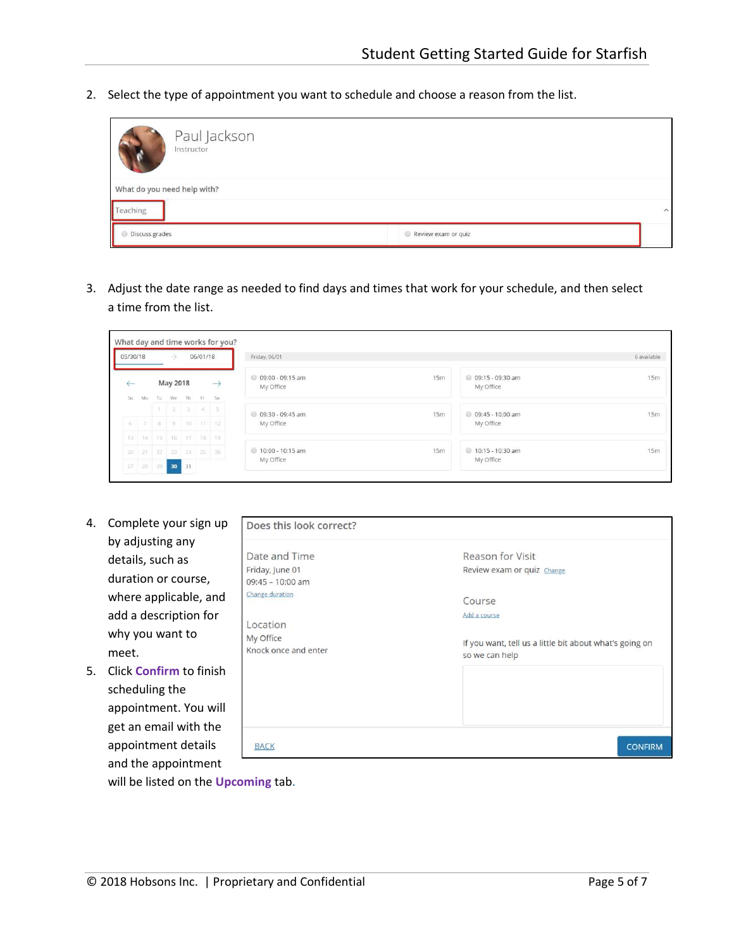2. Select the type of appointment you want to schedule and choose a reason from the list.

| Paul Jackson<br>Instructor  |                     |                         |
|-----------------------------|---------------------|-------------------------|
| What do you need help with? |                     |                         |
| Teaching                    |                     | $\widehat{\phantom{a}}$ |
| I<br>Discuss grades         | Review exam or quiz |                         |

3. Adjust the date range as needed to find days and times that work for your schedule, and then select a time from the list.

| 05/30/18     |     | $\rightarrow$        | 06/01/18 |               | Friday, 06/01                   |     |                                 | 6 available |
|--------------|-----|----------------------|----------|---------------|---------------------------------|-----|---------------------------------|-------------|
| $\leftarrow$ |     | May 2018             |          | $\rightarrow$ | © 09:00 - 09:15 am<br>My Office | 15m | 0 09:15 - 09:30 am<br>My Office | 15m         |
| Su:          | Mo- | Tu We Th Fr Sa       |          |               |                                 |     |                                 |             |
|              |     | $1 \t3 \t3 \t4 \t5$  |          |               | © 09:30 - 09:45 am              | 15m | © 09:45 - 10:00 am              | 15m         |
|              |     | 5 7 8 9 10 11 12     |          |               | My Office                       |     | My Office                       |             |
|              |     | 13 14 15 16 17 18 19 |          |               |                                 |     |                                 |             |
|              |     | 20 21 22 23 24 25 26 |          |               | 0 10:00 - 10:15 am              | 15m | 0 10:15 - 10:30 am              | 15m         |
|              |     | $27$ 28 29 30 31     |          |               | My Office                       |     | My Office                       |             |

- 4. Complete your sign up by adjusting any details, such as duration or course, where applicable, and add a description for why you want to meet.
- 5. Click **Confirm** to finish scheduling the appointment. You will get an email with the appointment details and the appointment

| Does this look correct?             |                                                                           |
|-------------------------------------|---------------------------------------------------------------------------|
| Date and Time                       | Reason for Visit                                                          |
| Friday, June 01<br>09:45 - 10:00 am | Review exam or quiz Change                                                |
| Change duration                     | Course                                                                    |
| Location                            | Add a course                                                              |
| My Office<br>Knock once and enter   | If you want, tell us a little bit about what's going on<br>so we can help |
|                                     |                                                                           |
| <b>BACK</b>                         | <b>CONFIRM</b>                                                            |

will be listed on the **[Upcoming](#page-5-2)** tab.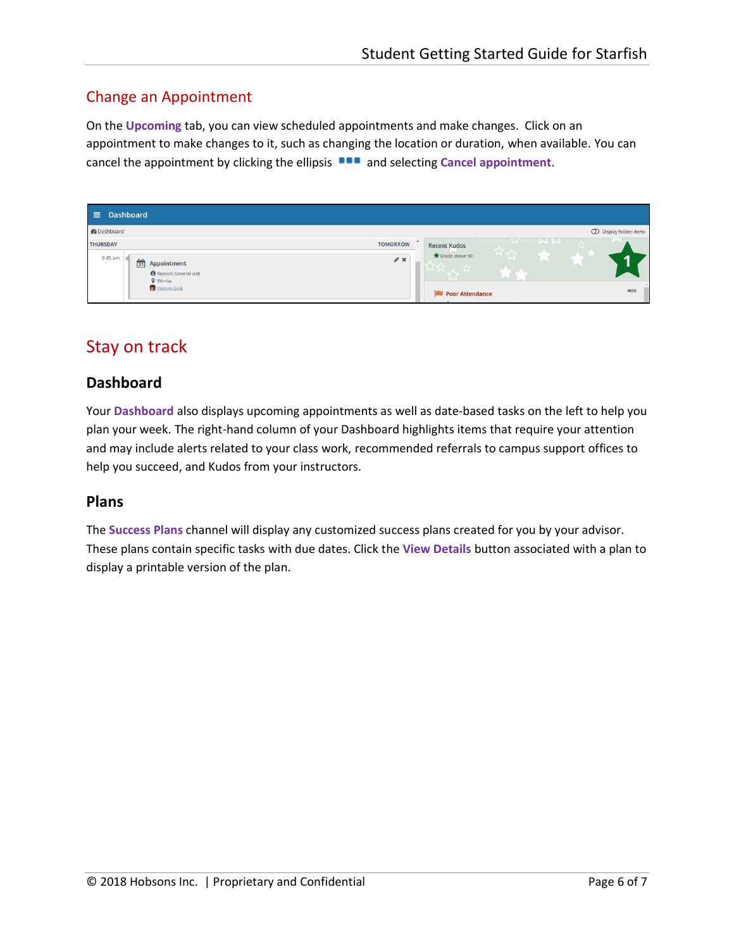## Change an Appointment

On the **Upcoming** tab, you can view scheduled appointments and make changes. Click on an appointment to make changes to it, such as changing the location or duration, when available. You can cancel the appointment by clicking the ellipsis **DOD** and selecting **Cancel appointment**.

| <b>Dashboard</b><br>$\equiv$                                                                                                   |                                                                                             |
|--------------------------------------------------------------------------------------------------------------------------------|---------------------------------------------------------------------------------------------|
| <b>Z</b> Dashboard                                                                                                             | <b>OD</b> Display hidden items                                                              |
| <b>TOMORROW</b><br><b>THURSDAY</b><br>9:45 am<br>$\mathscr{F}$ x<br>31<br>Appointment<br>Reason: General visit<br><b>Vimba</b> | MN<br>$\mathcal{L}$<br>合<br><b>Recent Kudos</b><br>육 산<br>Grade above 90<br>$\sim$<br>المحا |
| Yasmin Gold                                                                                                                    | HIDE<br>Poor Attendance                                                                     |

# <span id="page-5-1"></span><span id="page-5-0"></span>Stay on track

### <span id="page-5-2"></span>**Dashboard**

Your **Dashboard** also displays upcoming appointments as well as date-based tasks on the left to help you plan your week. The right-hand column of your Dashboard highlights items that require your attention and may include alerts related to your class work, recommended referrals to campus support offices to help you succeed, and Kudos from your instructors.

#### **Plans**

The **Success Plans** channel will display any customized success plans created for you by your advisor. These plans contain specific tasks with due dates. Click the **View Details** button associated with a plan to display a printable version of the plan.